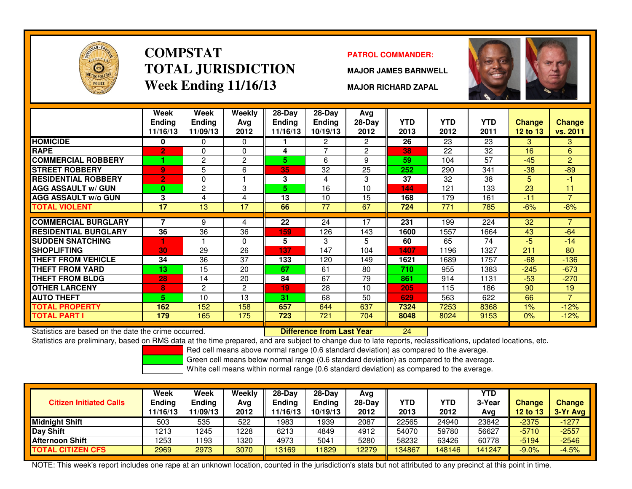

### **COMPSTATTOTAL JURISDICTIONWeek Ending 11/16/13**

### **PATROL COMMANDER:**

**MAJOR JAMES BARNWELL**

**MAJOR RICHARD ZAPAL**



|                             | Week<br><b>Endina</b> | Week<br><b>Ending</b> | Weekly<br>Avg | $28-Day$<br><b>Endina</b> | $28-Day$<br><b>Ending</b> | Avg<br>$28-Day$ | <b>YTD</b> | <b>YTD</b> | <b>YTD</b> | <b>Change</b> | <b>Change</b>  |
|-----------------------------|-----------------------|-----------------------|---------------|---------------------------|---------------------------|-----------------|------------|------------|------------|---------------|----------------|
|                             | 11/16/13              | 11/09/13              | 2012          | 11/16/13                  | 10/19/13                  | 2012            | 2013       | 2012       | 2011       | 12 to 13      | vs. 2011       |
| <b>HOMICIDE</b>             | 0                     | 0                     | $\Omega$      |                           | $\overline{2}$            | $\overline{2}$  | 26         | 23         | 23         | 3             | 3              |
| <b>RAPE</b>                 | $\overline{2}$        | 0                     | 0             | 4                         | 7                         | 2               | 38         | 22         | 32         | 16            | 6              |
| <b>COMMERCIAL ROBBERY</b>   |                       | $\mathbf{2}$          | 2             | 5.                        | 6                         | 9               | 59         | 104        | 57         | $-45$         | $\overline{2}$ |
| <b>ISTREET ROBBERY</b>      | 9                     | 5                     | 6             | 35                        | 32                        | 25              | 252        | 290        | 341        | $-38$         | $-89$          |
| <b>RESIDENTIAL ROBBERY</b>  | $\overline{2}$        | 0                     |               | 3                         | 4                         | 3               | 37         | 32         | 38         | 5             | $-1$           |
| <b>AGG ASSAULT w/ GUN</b>   | 0                     | $\overline{2}$        | 3             | 5.                        | 16                        | 10              | 144        | 121        | 133        | 23            | 11             |
| <b>AGG ASSAULT w/o GUN</b>  | 3                     | 4                     | 4             | 13                        | 10                        | 15              | 168        | 179        | 161        | $-11$         | $\overline{7}$ |
| <b>TOTAL VIOLENT</b>        | 17                    | 13                    | 17            | 66                        | 77                        | 67              | 724        | 771        | 785        | $-6%$         | $-8%$          |
|                             |                       |                       |               |                           |                           |                 |            |            |            |               |                |
| <b>COMMERCIAL BURGLARY</b>  | 7                     | 9                     | 4             | 22                        | 24                        | 17              | 231        | 199        | 224        | 32            |                |
| <b>RESIDENTIAL BURGLARY</b> | 36                    | 36                    | 36            | 159                       | 126                       | 143             | 1600       | 1557       | 1664       | 43            | $-64$          |
| <b>SUDDEN SNATCHING</b>     |                       |                       | 0             | 5.                        | 3                         | 5.              | 60         | 65         | 74         | $-5$          | $-14$          |
| <b>SHOPLIFTING</b>          | 30                    | 29                    | 26            | 137                       | 147                       | 104             | 1407       | 1196       | 1327       | 211           | 80             |
| <b>THEFT FROM VEHICLE</b>   | 34                    | 36                    | 37            | 133                       | 120                       | 149             | 1621       | 1689       | 1757       | $-68$         | $-136$         |
| <b>THEFT FROM YARD</b>      | 13                    | 15                    | 20            | 67                        | 61                        | 80              | 710        | 955        | 1383       | $-245$        | $-673$         |
| <b>THEFT FROM BLDG</b>      | 28                    | 14                    | 20            | 84                        | 67                        | 79              | 861        | 914        | 1131       | $-53$         | $-270$         |
| <b>OTHER LARCENY</b>        | 8                     | 2                     | 2             | 19                        | 28                        | 10              | 205        | 115        | 186        | 90            | 19             |
| <b>AUTO THEFT</b>           | 5.                    | 10                    | 13            | 31                        | 68                        | 50              | 629        | 563        | 622        | 66            | $\overline{7}$ |
| <b>TOTAL PROPERTY</b>       | 162                   | 152                   | 158           | 657                       | 644                       | 637             | 7324       | 7253       | 8368       | 1%            | $-12%$         |
| <b>TOTAL PART I</b>         | 179                   | 165                   | 175           | 723                       | 721                       | 704             | 8048       | 8024       | 9153       | 0%            | $-12%$         |

Statistics are based on the date the crime occurred. **Difference from Last Year** 

Statistics are based on the date the crime occurred. **[20] Later Lubber Liberence from Last Year New 1944 Later**<br>Statistics are preliminary, based on RMS data at the time prepared, and are subject to change due to late rep

Red cell means above normal range (0.6 standard deviation) as compared to the average.

Green cell means below normal range (0.6 standard deviation) as compared to the average.

White cell means within normal range (0.6 standard deviation) as compared to the average.

| <b>Citizen Initiated Calls</b> | Week<br><b>Ending</b><br>11/16/13 | Week<br><b>Ending</b><br>11/09/13 | Weekly<br>Avg<br>2012 | 28-Day<br>Ending<br>11/16/13 | $28-Dav$<br>Ending<br>10/19/13 | Avg<br>28-Dav<br>2012 | YTD<br>2013 | YTD<br>2012 | <b>YTD</b><br>3-Year<br>Avg | <b>Change</b><br><b>12 to 13</b> | <b>Change</b><br>$3-Yr$ Avg |
|--------------------------------|-----------------------------------|-----------------------------------|-----------------------|------------------------------|--------------------------------|-----------------------|-------------|-------------|-----------------------------|----------------------------------|-----------------------------|
| <b>Midnight Shift</b>          | 503                               | 535                               | 522                   | 1983                         | 1939                           | 2087                  | 22565       | 24940       | 23842                       | $-2375$                          | $-1277$                     |
| Day Shift                      | 1213                              | 1245                              | 1228                  | 6213                         | 4849                           | 4912                  | 54070       | 59780       | 56627                       | $-5710$                          | $-2557$                     |
| <b>Afternoon Shift</b>         | 1253                              | 193                               | 1320                  | 4973                         | 5041                           | 5280                  | 58232       | 63426       | 60778                       | $-5194$                          | $-2546$                     |
| TOTAL CITIZEN CFS              | 2969                              | 2973                              | 3070                  | 13169                        | 11829                          | 2279                  | 34867       | 148146      | 41247                       | $-9.0%$                          | $-4.5%$                     |

NOTE: This week's report includes one rape at an unknown location, counted in the jurisdiction's stats but not attributed to any precinct at this point in time.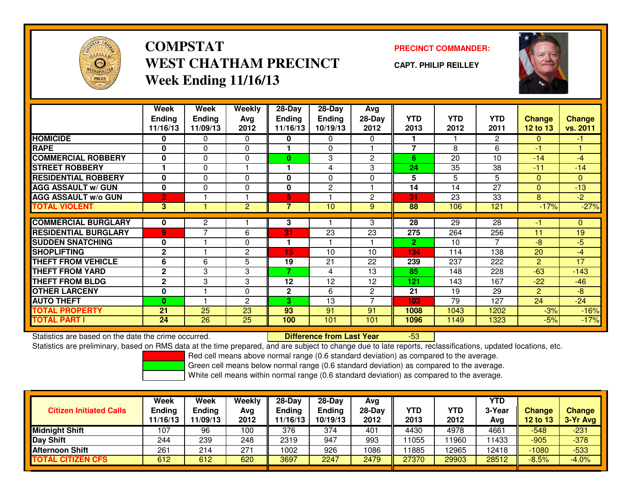

# **COMPSTATWEST CHATHAM PRECINCTWeek Ending 11/16/13**

### **PRECINCT COMMANDER:**

**CAPT. PHILIP REILLEY**



|                             | Week           | Week           | Weekly         | $28-Day$      | 28-Day         | Avg            |                |            |              |                 |               |
|-----------------------------|----------------|----------------|----------------|---------------|----------------|----------------|----------------|------------|--------------|-----------------|---------------|
|                             | <b>Ending</b>  | <b>Ending</b>  | Avg            | <b>Ending</b> | <b>Ending</b>  | 28-Day         | <b>YTD</b>     | <b>YTD</b> | <b>YTD</b>   | <b>Change</b>   | <b>Change</b> |
|                             | 11/16/13       | 11/09/13       | 2012           | 11/16/13      | 10/19/13       | 2012           | 2013           | 2012       | 2011         | <b>12 to 13</b> | vs. 2011      |
| <b>HOMICIDE</b>             | 0              | 0              | 0              | 0             | 0              | 0              |                |            | $\mathbf{2}$ | $\Omega$        | $-1$          |
| <b>RAPE</b>                 | 0              | $\Omega$       | $\Omega$       |               | 0              |                | $\overline{7}$ | 8          | 6            | -1              |               |
| <b>COMMERCIAL ROBBERY</b>   | 0              | $\Omega$       | $\Omega$       | $\bf{0}$      | 3              | $\mathbf{2}$   | 6              | 20         | 10           | $-14$           | $-4$          |
| <b>STREET ROBBERY</b>       |                | 0              |                |               | 4              | 3              | 24             | 35         | 38           | $-11$           | $-14$         |
| <b>RESIDENTIAL ROBBERY</b>  | $\bf{0}$       | $\Omega$       | $\Omega$       | 0             | $\Omega$       | 0              | 5              | 5          | 5            | $\Omega$        | $\mathbf{0}$  |
| <b>AGG ASSAULT w/ GUN</b>   | $\bf{0}$       | $\Omega$       | 0              | 0             | $\overline{c}$ |                | 14             | 14         | 27           | $\Omega$        | $-13$         |
| <b>AGG ASSAULT w/o GUN</b>  | $\overline{2}$ |                |                | 5             |                | $\overline{2}$ | 31             | 23         | 33           | 8               | $-2$          |
| <b>TOTAL VIOLENT</b>        | 3              |                | $\overline{c}$ | 7             | 10             | 9              | 88             | 106        | 121          | $-17%$          | $-27%$        |
|                             |                |                |                |               |                |                |                |            |              |                 |               |
| <b>COMMERCIAL BURGLARY</b>  | 0              | 2              |                | 3             |                | 3              | 28             | 29         | 28           | -1              | 0             |
| <b>RESIDENTIAL BURGLARY</b> | $\overline{9}$ | $\overline{ }$ | 6              | 31            | 23             | 23             | 275            | 264        | 256          | 11              | 19            |
| <b>SUDDEN SNATCHING</b>     | 0              |                | $\Omega$       |               |                |                | 2.             | 10         | 7            | $-8$            | $-5$          |
| <b>SHOPLIFTING</b>          | $\mathbf{2}$   |                | 2              | 15            | 10             | 10             | 134            | 114        | 138          | 20              | $-4$          |
| <b>THEFT FROM VEHICLE</b>   | 6              | 6              | 5              | 19            | 21             | 22             | 239            | 237        | 222          | 2               | 17            |
| <b>THEFT FROM YARD</b>      | $\mathbf 2$    | 3              | 3              | 7             | 4              | 13             | 85             | 148        | 228          | $-63$           | $-143$        |
| <b>THEFT FROM BLDG</b>      | $\mathbf{2}$   | 3              | 3              | 12            | 12             | 12             | 121            | 143        | 167          | $-22$           | $-46$         |
| <b>OTHER LARCENY</b>        | 0              |                | $\Omega$       | $\mathbf{2}$  | 6              | $\overline{2}$ | 21             | 19         | 29           | 2               | -8            |
| <b>AUTO THEFT</b>           | $\bf{0}$       |                | 2              | 3             | 13             | ⇁              | 103            | 79         | 127          | 24              | $-24$         |
| <b>TOTAL PROPERTY</b>       | 21             | 25             | 23             | 93            | 91             | 91             | 1008           | 1043       | 1202         | $-3%$           | $-16%$        |
| <b>TOTAL PART I</b>         | 24             | 26             | 25             | 100           | 101            | 101            | 1096           | 1149       | 1323         | $-5%$           | $-17%$        |

Statistics are based on the date the crime occurred. **Difference from Last Year** 

Statistics are based on the date the crime occurred.<br>Statistics are preliminary, based on RMS data at the time prepared, and are subject to change due to late reports, reclassifications, updated locations, etc.

Red cell means above normal range (0.6 standard deviation) as compared to the average.

Green cell means below normal range (0.6 standard deviation) as compared to the average.

| <b>Citizen Initiated Calls</b> | Week<br><b>Ending</b><br>11/16/13 | Week<br>Ending<br>11/09/13 | Weekly<br>Avg<br>2012 | $28-Day$<br><b>Ending</b><br>11/16/13 | 28-Day<br><b>Ending</b><br>10/19/13 | Avg<br>28-Day<br>2012 | YTD<br>2013 | YTD<br>2012 | YTD<br>3-Year<br>Avg | <b>Change</b><br><b>12 to 13</b> | <b>Change</b><br>3-Yr Avg |
|--------------------------------|-----------------------------------|----------------------------|-----------------------|---------------------------------------|-------------------------------------|-----------------------|-------------|-------------|----------------------|----------------------------------|---------------------------|
| <b>Midnight Shift</b>          | 107                               | 96                         | 100                   | 376                                   | 374                                 | 401                   | 4430        | 4978        | 4661                 | $-548$                           | $-231$                    |
| <b>Day Shift</b>               | 244                               | 239                        | 248                   | 2319                                  | 947                                 | 993                   | 11055       | 1960        | 1433                 | $-905$                           | $-378$                    |
| <b>Afternoon Shift</b>         | 261                               | 214                        | 271                   | 1002                                  | 926                                 | 1086                  | 11885       | 2965        | 12418                | $-1080$                          | $-533$                    |
| <b>TOTAL CITIZEN CFS</b>       | 612                               | 612                        | 620                   | 3697                                  | 2247                                | 2479                  | 27370       | 29903       | 28512                | $-8.5%$                          | $-4.0%$                   |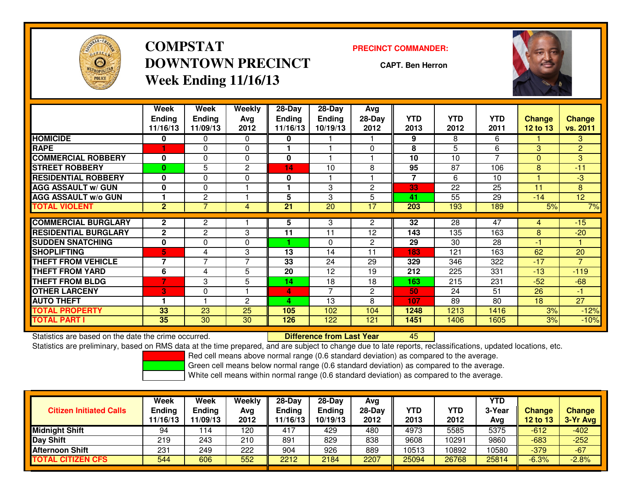

# **COMPSTATDOWNTOWN PRECINCTWeek Ending 11/16/13**

#### **PRECINCT COMMANDER:**

**CAPT. Ben Herron**



|                             | Week<br><b>Endina</b><br>11/16/13 | Week<br><b>Ending</b><br>11/09/13 | <b>Weekly</b><br>Avg<br>2012 | 28-Day<br>Endina<br>11/16/13 | 28-Day<br><b>Endina</b><br>10/19/13 | Avg<br>28-Day<br>2012 | <b>YTD</b><br>2013 | <b>YTD</b><br>2012 | <b>YTD</b><br>2011 | <b>Change</b><br><b>12 to 13</b> | <b>Change</b><br>vs. 2011 |
|-----------------------------|-----------------------------------|-----------------------------------|------------------------------|------------------------------|-------------------------------------|-----------------------|--------------------|--------------------|--------------------|----------------------------------|---------------------------|
| <b>HOMICIDE</b>             | 0                                 | 0                                 | $\Omega$                     | 0                            |                                     |                       | 9                  | 8                  | 6                  |                                  | 3                         |
| <b>RAPE</b>                 |                                   | $\Omega$                          | $\Omega$                     |                              |                                     | $\Omega$              | 8                  | 5                  | 6                  | 3                                | $\overline{2}$            |
| <b>COMMERCIAL ROBBERY</b>   | 0                                 | $\Omega$                          | $\mathbf{0}$                 | 0                            |                                     |                       | 10                 | 10                 | 7                  | $\Omega$                         | 3                         |
| <b>STREET ROBBERY</b>       | $\bf{0}$                          | 5                                 | 2                            | 14                           | 10                                  | 8                     | 95                 | 87                 | 106                | 8                                | $-11$                     |
| <b>RESIDENTIAL ROBBERY</b>  | $\bf{0}$                          | $\Omega$                          | $\Omega$                     | 0                            |                                     |                       | 7                  | 6                  | 10                 |                                  | $-3$                      |
| <b>AGG ASSAULT w/ GUN</b>   | 0                                 | 0                                 |                              |                              | 3                                   | $\mathbf{2}$          | 33                 | 22                 | 25                 | 11                               | 8                         |
| <b>AGG ASSAULT w/o GUN</b>  |                                   | 2                                 |                              | 5                            | 3                                   | 5                     | 41                 | 55                 | 29                 | $-14$                            | 12 <sup>2</sup>           |
| <b>TOTAL VIOLENT</b>        | $\overline{2}$                    | $\overline{7}$                    | 4                            | 21                           | 20                                  | 17                    | 203                | 193                | 189                | 5%                               | 7%                        |
| <b>COMMERCIAL BURGLARY</b>  |                                   |                                   |                              |                              |                                     |                       |                    | 28                 | 47                 |                                  |                           |
|                             | $\mathbf{2}$                      | $\mathbf{2}$                      |                              | 5                            | 3                                   | 2                     | 32                 |                    |                    | 4                                | $-15$                     |
| <b>RESIDENTIAL BURGLARY</b> | $\mathbf{2}$                      | $\overline{2}$                    | 3                            | 11                           | 11                                  | 12                    | 143                | 135                | 163                | 8                                | $-20$                     |
| <b>SUDDEN SNATCHING</b>     | 0                                 | 0                                 | 0                            |                              | 0                                   | $\mathbf{2}$          | 29                 | 30                 | 28                 | -1                               |                           |
| <b>SHOPLIFTING</b>          | 5.                                | 4                                 | 3                            | 13                           | 14                                  | 11                    | 183                | 121                | 163                | 62                               | 20                        |
| <b>THEFT FROM VEHICLE</b>   | $\overline{\phantom{a}}$          | $\overline{7}$                    | $\overline{7}$               | 33                           | 24                                  | 29                    | 329                | 346                | 322                | $-17$                            | $\overline{7}$            |
| <b>THEFT FROM YARD</b>      | 6                                 | 4                                 | 5                            | 20                           | 12                                  | 19                    | 212                | 225                | 331                | $-13$                            | $-119$                    |
| <b>THEFT FROM BLDG</b>      | 7                                 | 3                                 | 5                            | 14                           | 18                                  | 18                    | 163                | 215                | 231                | $-52$                            | $-68$                     |
| <b>OTHER LARCENY</b>        | 3                                 | 0                                 |                              | 4                            | $\overline{7}$                      | $\mathbf{2}$          | 50                 | 24                 | 51                 | 26                               | -1                        |
| <b>AUTO THEFT</b>           |                                   |                                   | $\mathbf{c}$                 | л                            | 13                                  | 8                     | 107                | 89                 | 80                 | 18                               | 27                        |
| <b>TOTAL PROPERTY</b>       | 33                                | 23                                | 25                           | 105                          | 102                                 | 104                   | 1248               | 1213               | 1416               | 3%                               | $-12%$                    |
| <b>TOTAL PART I</b>         | 35                                | 30                                | 30                           | 126                          | 122                                 | 121                   | 1451               | 1406               | 1605               | 3%                               | $-10%$                    |

Statistics are based on the date the crime occurred. **Difference from Last Year** 

Statistics are based on the date the crime occurred.<br>Statistics are preliminary, based on RMS data at the time prepared, and are subject to change due to late reports, reclassifications, updated locations, etc.

Red cell means above normal range (0.6 standard deviation) as compared to the average.

Green cell means below normal range (0.6 standard deviation) as compared to the average.

| <b>Citizen Initiated Calls</b> | Week<br><b>Ending</b><br>11/16/13 | Week<br><b>Ending</b><br>11/09/13 | Weekly<br>Avg<br>2012 | $28-Day$<br><b>Ending</b><br>11/16/13 | $28-Day$<br><b>Ending</b><br>10/19/13 | Avg<br>28-Day<br>2012 | YTD<br>2013 | YTD<br>2012 | <b>YTD</b><br>3-Year<br>Avg | <b>Change</b><br>12 to 13 | <b>Change</b><br>3-Yr Avg |
|--------------------------------|-----------------------------------|-----------------------------------|-----------------------|---------------------------------------|---------------------------------------|-----------------------|-------------|-------------|-----------------------------|---------------------------|---------------------------|
| <b>Midnight Shift</b>          | 94                                | ່ 14                              | 120                   | 417                                   | 429                                   | 480                   | 4973        | 5585        | 5375                        | $-612$                    | $-402$                    |
| <b>Day Shift</b>               | 219                               | 243                               | 210                   | 891                                   | 829                                   | 838                   | 9608        | 10291       | 9860                        | $-683$                    | $-252$                    |
| <b>Afternoon Shift</b>         | 231                               | 249                               | 222                   | 904                                   | 926                                   | 889                   | 10513       | 10892       | 10580                       | $-379$                    | $-67$                     |
| <b>TOTAL CITIZEN CFS</b>       | 544                               | 606                               | 552                   | 2212                                  | 2184                                  | 2207                  | 25094       | 26768       | 25814                       | $-6.3%$                   | $-2.8%$                   |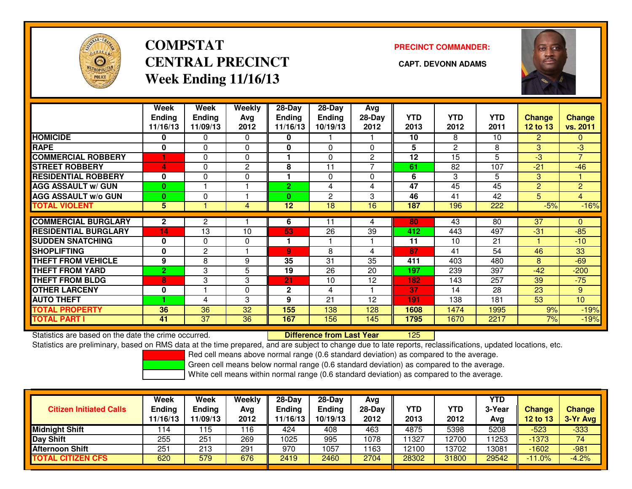

# **COMPSTATCENTRAL PRECINCT** CAPT. DEVONN ADAMS **Week Ending 11/16/13**

### **PRECINCT COMMANDER:**



|                             | Week           | Week            | Weekly   | $28-Day$       | 28-Day         | Avg            |                 |                 |                 |                 |                  |
|-----------------------------|----------------|-----------------|----------|----------------|----------------|----------------|-----------------|-----------------|-----------------|-----------------|------------------|
|                             | <b>Ending</b>  | <b>Ending</b>   | Avg      | <b>Ending</b>  | <b>Ending</b>  | 28-Day         | <b>YTD</b>      | <b>YTD</b>      | <b>YTD</b>      | <b>Change</b>   | <b>Change</b>    |
|                             | 11/16/13       | 11/09/13        | 2012     | 11/16/13       | 10/19/13       | 2012           | 2013            | 2012            | 2011            | <b>12 to 13</b> | vs. 2011         |
| <b>HOMICIDE</b>             | 0              | 0               | $\Omega$ | 0              |                |                | 10              | 8               | 10              | $\overline{2}$  | 0                |
| <b>RAPE</b>                 | 0              | $\Omega$        | $\Omega$ | 0              | $\Omega$       | $\Omega$       | 5               | 2               | 8               | 3               | $-3$             |
| <b>COMMERCIAL ROBBERY</b>   | 1              | $\Omega$        | $\Omega$ |                | $\Omega$       | $\overline{2}$ | 12              | $\overline{15}$ | $\overline{5}$  | $-3$            | $\overline{7}$   |
| <b>STREET ROBBERY</b>       | 4              | 0               | 2        | 8              | 11             |                | 61              | 82              | 107             | $-21$           | $-46$            |
| <b>RESIDENTIAL ROBBERY</b>  | $\mathbf{0}$   | $\Omega$        | $\Omega$ |                | $\Omega$       | $\Omega$       | 6               | 3               | 5               | 3               |                  |
| <b>AGG ASSAULT w/ GUN</b>   | $\bf{0}$       |                 |          | $\overline{2}$ | 4              | 4              | $\overline{47}$ | $\overline{45}$ | $\overline{45}$ | 2               | $\overline{2}$   |
| <b>AGG ASSAULT w/o GUN</b>  | $\bf{0}$       | 0               |          | $\bf{0}$       | $\overline{c}$ | 3              | 46              | 41              | 42              | 5               | $\overline{4}$   |
| <b>TOTAL VIOLENT</b>        | 5              |                 | 4        | 12             | 18             | 16             | 187             | 196             | 222             | $-5%$           | $-16%$           |
|                             |                |                 |          |                |                |                |                 |                 |                 |                 |                  |
| <b>COMMERCIAL BURGLARY</b>  | $\mathbf{2}$   | 2               |          | 6              | 11             | 4              | 80              | 43              | 80              | 37              | 0                |
| <b>RESIDENTIAL BURGLARY</b> | 14             | 13              | 10       | 53             | 26             | 39             | 412             | 443             | 497             | $-31$           | $-85$            |
| <b>SUDDEN SNATCHING</b>     | 0              | $\Omega$        | 0        |                |                |                | 11              | 10              | 21              |                 | $-10$            |
| <b>SHOPLIFTING</b>          | 0              | 2               |          | 9              | 8              | 4              | 87              | 41              | 54              | 46              | 33               |
| <b>THEFT FROM VEHICLE</b>   | 9              | 8               | 9        | 35             | 31             | 35             | 411             | 403             | 480             | 8               | $-69$            |
| <b>THEFT FROM YARD</b>      | $\overline{2}$ | 3               | 5        | 19             | 26             | 20             | 197             | 239             | 397             | $-42$           | $-200$           |
| <b>THEFT FROM BLDG</b>      | 8              | 3               | 3        | 21             | 10             | 12             | 182             | 143             | 257             | 39              | $-75$            |
| <b>OTHER LARCENY</b>        | 0              |                 | 0        | $\mathbf{2}$   | 4              |                | 37              | 14              | 28              | 23              | 9                |
| <b>AUTO THEFT</b>           |                | 4               | 3        | 9              | 21             | 12             | 191             | 138             | 181             | 53              | 10 <sup>10</sup> |
| <b>TOTAL PROPERTY</b>       | 36             | 36              | 32       | 155            | 138            | 128            | 1608            | 1474            | 1995            | 9%              | $-19%$           |
| <b>TOTAL PART I</b>         | 41             | $\overline{37}$ | 36       | 167            | 156            | 145            | 1795            | 1670            | 2217            | 7%              | $-19%$           |

Statistics are based on the date the crime occurred. **Difference from Last Year** 

<sup>125</sup>

Statistics are preliminary, based on RMS data at the time prepared, and are subject to change due to late reports, reclassifications, updated locations, etc.

Red cell means above normal range (0.6 standard deviation) as compared to the average.

Green cell means below normal range (0.6 standard deviation) as compared to the average.

| <b>Citizen Initiated Calls</b> | Week<br><b>Ending</b><br>11/16/13 | <b>Week</b><br><b>Ending</b><br>11/09/13 | Weekly<br>Avg<br>2012 | $28-Day$<br>Ending<br>11/16/13 | $28 - Day$<br><b>Ending</b><br>10/19/13 | Avg<br>28-Day<br>2012 | YTD<br>2013 | YTD<br>2012 | <b>YTD</b><br>3-Year<br>Ava | Change<br><b>12 to 13</b> | <b>Change</b><br>3-Yr Avg |
|--------------------------------|-----------------------------------|------------------------------------------|-----------------------|--------------------------------|-----------------------------------------|-----------------------|-------------|-------------|-----------------------------|---------------------------|---------------------------|
| <b>Midnight Shift</b>          | 114                               | 115                                      | 116                   | 424                            | 408                                     | 463                   | 4875        | 5398        | 5208                        | $-523$                    | $-333$                    |
| <b>Day Shift</b>               | 255                               | 251                                      | 269                   | 1025                           | 995                                     | 1078                  | 11327       | 12700       | 1253                        | $-1373$                   | 74                        |
| <b>Afternoon Shift</b>         | 251                               | 213                                      | 291                   | 970                            | 1057                                    | 1163                  | 12100       | 13702       | 13081                       | $-1602$                   | $-981$                    |
| <b>TOTAL CITIZEN CFS</b>       | 620                               | 579                                      | 676                   | 2419                           | 2460                                    | 2704                  | 28302       | 31800       | 29542                       | $-11.0%$                  | $-4.2%$                   |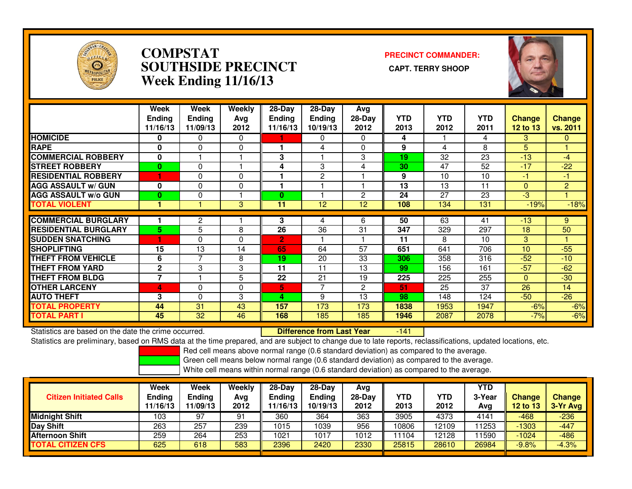

### **COMPSTAT PRECINCT COMMANDER: SOUTHSIDE PRECINCT CAPT. TERRY SHOOPWeek Ending 11/16/13**



|                             | Week<br><b>Ending</b><br>11/16/13 | Week<br><b>Endina</b><br>11/09/13 | <b>Weekly</b><br>Ava<br>2012 | $28$ -Day<br>Ending<br>11/16/13 | $28$ -Day<br><b>Endina</b><br>10/19/13 | Avg<br>$28-Day$<br>2012 | <b>YTD</b><br>2013 | <b>YTD</b><br>2012 | <b>YTD</b><br>2011 | Change<br>12 to 13 | <b>Change</b><br>vs. 2011 |
|-----------------------------|-----------------------------------|-----------------------------------|------------------------------|---------------------------------|----------------------------------------|-------------------------|--------------------|--------------------|--------------------|--------------------|---------------------------|
| <b>HOMICIDE</b>             | 0                                 | $\Omega$                          | 0                            |                                 | 0                                      | $\Omega$                | 4                  |                    | 4                  | 3                  | $\Omega$                  |
| <b>RAPE</b>                 | $\bf{0}$                          | 0                                 | 0                            |                                 | 4                                      | 0                       | 9                  | 4                  | 8                  | 5                  |                           |
| <b>COMMERCIAL ROBBERY</b>   | 0                                 |                                   |                              | 3                               |                                        | 3                       | 19                 | 32                 | 23                 | $-13$              | $-4$                      |
| <b>STREET ROBBERY</b>       | $\bf{0}$                          | $\Omega$                          |                              | 4                               | 3                                      | 4                       | 30                 | 47                 | 52                 | $-17$              | $-22$                     |
| <b>RESIDENTIAL ROBBERY</b>  | н                                 | $\Omega$                          | 0                            |                                 | $\overline{2}$                         |                         | 9                  | 10                 | 10                 | -1                 | $-1$                      |
| <b>AGG ASSAULT w/ GUN</b>   | 0                                 | $\Omega$                          | 0                            |                                 |                                        |                         | 13                 | 13                 | 11                 | $\mathbf{0}$       | $\overline{2}$            |
| <b>AGG ASSAULT w/o GUN</b>  | $\bf{0}$                          | 0                                 |                              | $\bf{0}$                        |                                        | 2                       | 24                 | 27                 | 23                 | $-3$               |                           |
| <b>TOTAL VIOLENT</b>        |                                   |                                   | 3                            | 11                              | 12                                     | 12                      | 108                | 134                | 131                | $-19%$             | $-18%$                    |
| <b>COMMERCIAL BURGLARY</b>  |                                   | 2                                 |                              | 3                               |                                        | 6                       | 50                 | 63                 | 41                 | $-13$              | 9                         |
|                             |                                   |                                   |                              |                                 | 4                                      |                         |                    |                    |                    |                    |                           |
| <b>RESIDENTIAL BURGLARY</b> | 5                                 | 5                                 | 8                            | 26                              | 36                                     | 31                      | 347                | 329                | 297                | 18                 | 50                        |
| <b>SUDDEN SNATCHING</b>     |                                   | 0                                 | 0                            | $\overline{2}$                  |                                        |                         | 11                 | 8                  | 10                 | 3                  |                           |
| <b>SHOPLIFTING</b>          | 15                                | 13                                | 14                           | 65                              | 64                                     | 57                      | 651                | 641                | 706                | 10                 | $-55$                     |
| <b>THEFT FROM VEHICLE</b>   | 6                                 | 7                                 | 8                            | 19                              | 20                                     | 33                      | 306                | 358                | 316                | $-52$              | $-10$                     |
| <b>THEFT FROM YARD</b>      | $\mathbf{2}$                      | 3                                 | 3                            | 11                              | 11                                     | 13                      | 99                 | 156                | 161                | $-57$              | $-62$                     |
| <b>THEFT FROM BLDG</b>      | $\overline{7}$                    |                                   | 5                            | 22                              | 21                                     | 19                      | 225                | 225                | 255                | $\Omega$           | $-30$                     |
| <b>OTHER LARCENY</b>        | 4                                 | $\Omega$                          | 0                            | 5                               | $\overline{ }$                         | $\overline{2}$          | 51                 | 25                 | 37                 | 26                 | 14                        |
| <b>AUTO THEFT</b>           | 3                                 | 0                                 | 3                            | 4                               | 9                                      | 13                      | 98                 | 148                | 124                | $-50$              | $-26$                     |
| <b>TOTAL PROPERTY</b>       | 44                                | 31                                | 43                           | 157                             | 173                                    | 173                     | 1838               | 1953               | 1947               | $-6%$              | $-6%$                     |
| <b>TOTAL PART I</b>         | 45                                | 32                                | 46                           | 168                             | 185                                    | 185                     | 1946               | 2087               | 2078               | $-7%$              | $-6%$                     |

Statistics are based on the date the crime occurred. **Difference from Last Year**  $-141$ Statistics are preliminary, based on RMS data at the time prepared, and are subject to change due to late reports, reclassifications, updated locations, etc.

Red cell means above normal range (0.6 standard deviation) as compared to the average.

Green cell means below normal range (0.6 standard deviation) as compared to the average.

| <b>Citizen Initiated Calls</b> | Week<br><b>Ending</b><br>11/16/13 | <b>Week</b><br>Ending<br>11/09/13 | Weekly<br>Avg<br>2012 | 28-Dav<br>Ending<br>1/16/13 | 28-Dav<br><b>Ending</b><br>10/19/13 | Avg<br>$28-Day$<br>2012 | <b>YTD</b><br>2013 | YTD<br>2012 | YTD<br>3-Year<br>Avg | <b>Change</b><br>12 to 13 | <b>Change</b><br>3-Yr Avg |
|--------------------------------|-----------------------------------|-----------------------------------|-----------------------|-----------------------------|-------------------------------------|-------------------------|--------------------|-------------|----------------------|---------------------------|---------------------------|
| <b>Midnight Shift</b>          | 103                               | 97                                | 91                    | 360                         | 364                                 | 363                     | 3905               | 4373        | 4141                 | -468                      | $-236$                    |
| Day Shift                      | 263                               | 257                               | 239                   | 1015                        | 1039                                | 956                     | 10806              | 12109       | 11253                | $-1303$                   | $-447$                    |
| <b>Afternoon Shift</b>         | 259                               | 264                               | 253                   | 1021                        | 1017                                | 1012                    | 1104               | 12128       | 1590                 | $-1024$                   | $-486$                    |
| <b>TOTAL CITIZEN CFS</b>       | 625                               | 618                               | 583                   | 2396                        | 2420                                | 2330                    | 25815              | 28610       | 26984                | $-9.8%$                   | $-4.3%$                   |